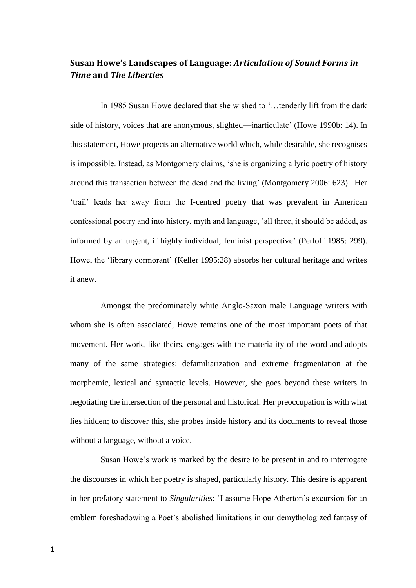# **Susan Howe's Landscapes of Language:** *Articulation of Sound Forms in Time* **and** *The Liberties*

In 1985 Susan Howe declared that she wished to '...tenderly lift from the dark side of history, voices that are anonymous, slighted—inarticulate' (Howe 1990b: 14). In this statement, Howe projects an alternative world which, while desirable, she recognises is impossible. Instead, as Montgomery claims, 'she is organizing a lyric poetry of history around this transaction between the dead and the living' (Montgomery 2006: 623). Her 'trail' leads her away from the I-centred poetry that was prevalent in American confessional poetry and into history, myth and language, 'all three, it should be added, as informed by an urgent, if highly individual, feminist perspective' (Perloff 1985: 299). Howe, the 'library cormorant' (Keller 1995:28) absorbs her cultural heritage and writes it anew.

Amongst the predominately white Anglo-Saxon male Language writers with whom she is often associated, Howe remains one of the most important poets of that movement. Her work, like theirs, engages with the materiality of the word and adopts many of the same strategies: defamiliarization and extreme fragmentation at the morphemic, lexical and syntactic levels. However, she goes beyond these writers in negotiating the intersection of the personal and historical. Her preoccupation is with what lies hidden; to discover this, she probes inside history and its documents to reveal those without a language, without a voice.

Susan Howe's work is marked by the desire to be present in and to interrogate the discourses in which her poetry is shaped, particularly history. This desire is apparent in her prefatory statement to *Singularities*: 'I assume Hope Atherton's excursion for an emblem foreshadowing a Poet's abolished limitations in our demythologized fantasy of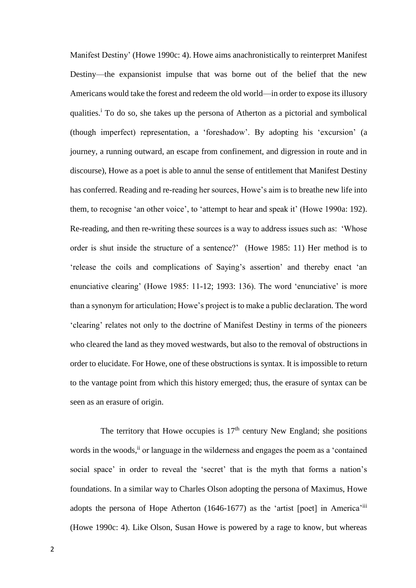Manifest Destiny' (Howe 1990c: 4). Howe aims anachronistically to reinterpret Manifest Destiny—the expansionist impulse that was borne out of the belief that the new Americans would take the forest and redeem the old world—in order to expose its illusory qualities.<sup>i</sup> To do so, she takes up the persona of Atherton as a pictorial and symbolical (though imperfect) representation, a 'foreshadow'. By adopting his 'excursion' (a journey, a running outward, an escape from confinement, and digression in route and in discourse), Howe as a poet is able to annul the sense of entitlement that Manifest Destiny has conferred. Reading and re-reading her sources, Howe's aim is to breathe new life into them, to recognise 'an other voice', to 'attempt to hear and speak it' (Howe 1990a: 192). Re-reading, and then re-writing these sources is a way to address issues such as: 'Whose order is shut inside the structure of a sentence?' (Howe 1985: 11) Her method is to 'release the coils and complications of Saying's assertion' and thereby enact 'an enunciative clearing' (Howe 1985: 11-12; 1993: 136). The word 'enunciative' is more than a synonym for articulation; Howe's project is to make a public declaration. The word 'clearing' relates not only to the doctrine of Manifest Destiny in terms of the pioneers who cleared the land as they moved westwards, but also to the removal of obstructions in order to elucidate. For Howe, one of these obstructions is syntax. It is impossible to return to the vantage point from which this history emerged; thus, the erasure of syntax can be seen as an erasure of origin.

The territory that Howe occupies is  $17<sup>th</sup>$  century New England; she positions words in the woods,<sup>ii</sup> or language in the wilderness and engages the poem as a 'contained social space' in order to reveal the 'secret' that is the myth that forms a nation's foundations. In a similar way to Charles Olson adopting the persona of Maximus, Howe adopts the persona of Hope Atherton (1646-1677) as the 'artist [poet] in America'iii (Howe 1990c: 4). Like Olson, Susan Howe is powered by a rage to know, but whereas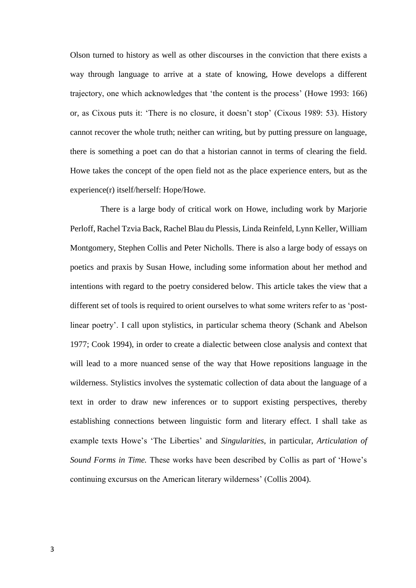Olson turned to history as well as other discourses in the conviction that there exists a way through language to arrive at a state of knowing, Howe develops a different trajectory, one which acknowledges that 'the content is the process' (Howe 1993: 166) or, as Cixous puts it: 'There is no closure, it doesn't stop' (Cixous 1989: 53). History cannot recover the whole truth; neither can writing, but by putting pressure on language, there is something a poet can do that a historian cannot in terms of clearing the field. Howe takes the concept of the open field not as the place experience enters, but as the experience(r) itself/herself: Hope/Howe.

There is a large body of critical work on Howe, including work by Marjorie Perloff, Rachel Tzvia Back, Rachel Blau du Plessis, Linda Reinfeld, Lynn Keller, William Montgomery, Stephen Collis and Peter Nicholls. There is also a large body of essays on poetics and praxis by Susan Howe, including some information about her method and intentions with regard to the poetry considered below. This article takes the view that a different set of tools is required to orient ourselves to what some writers refer to as 'postlinear poetry'. I call upon stylistics, in particular schema theory (Schank and Abelson 1977; Cook 1994), in order to create a dialectic between close analysis and context that will lead to a more nuanced sense of the way that Howe repositions language in the wilderness. Stylistics involves the systematic collection of data about the language of a text in order to draw new inferences or to support existing perspectives, thereby establishing connections between linguistic form and literary effect. I shall take as example texts Howe's 'The Liberties' and *Singularities*, in particular, *Articulation of Sound Forms in Time.* These works have been described by Collis as part of 'Howe's continuing excursus on the American literary wilderness' (Collis 2004).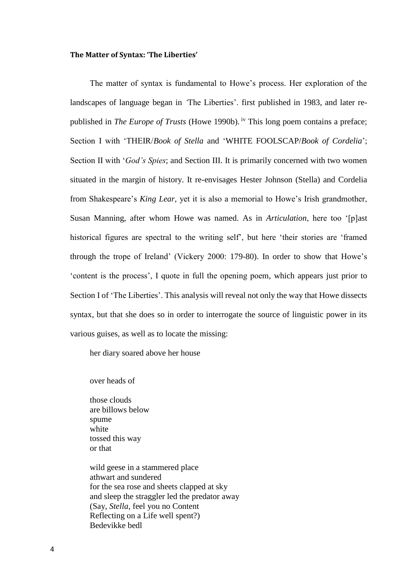#### **The Matter of Syntax: 'The Liberties'**

The matter of syntax is fundamental to Howe's process. Her exploration of the landscapes of language began in *'*The Liberties'. first published in 1983, and later republished in *The Europe of Trusts* (Howe 1990b). iv This long poem contains a preface; Section I with 'THEIR/*Book of Stella* and 'WHITE FOOLSCAP/*Book of Cordelia*'; Section II with '*God's Spies*; and Section III. It is primarily concerned with two women situated in the margin of history. It re-envisages Hester Johnson (Stella) and Cordelia from Shakespeare's *King Lear,* yet it is also a memorial to Howe's Irish grandmother, Susan Manning, after whom Howe was named. As in *Articulation*, here too '[p]ast historical figures are spectral to the writing self', but here 'their stories are 'framed through the trope of Ireland' (Vickery 2000: 179-80). In order to show that Howe's 'content is the process', I quote in full the opening poem, which appears just prior to Section I of 'The Liberties'. This analysis will reveal not only the way that Howe dissects syntax, but that she does so in order to interrogate the source of linguistic power in its various guises, as well as to locate the missing:

her diary soared above her house

over heads of

those clouds are billows below spume white tossed this way or that

wild geese in a stammered place athwart and sundered for the sea rose and sheets clapped at sky and sleep the straggler led the predator away (Say, *Stella*, feel you no Content Reflecting on a Life well spent?) Bedevikke bedl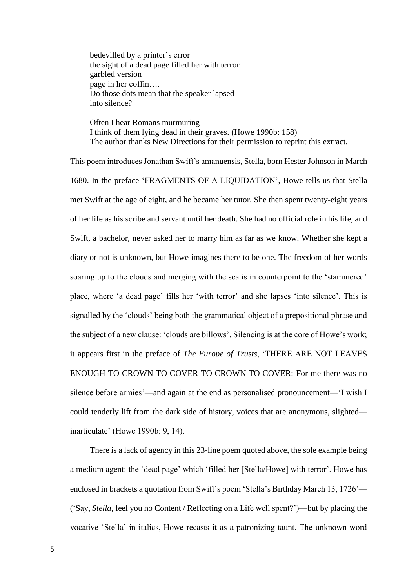bedevilled by a printer's error the sight of a dead page filled her with terror garbled version page in her coffin…. Do those dots mean that the speaker lapsed into silence?

Often I hear Romans murmuring I think of them lying dead in their graves. (Howe 1990b: 158) The author thanks New Directions for their permission to reprint this extract.

This poem introduces Jonathan Swift's amanuensis, Stella, born Hester Johnson in March 1680. In the preface 'FRAGMENTS OF A LIQUIDATION', Howe tells us that Stella met Swift at the age of eight, and he became her tutor. She then spent twenty-eight years of her life as his scribe and servant until her death. She had no official role in his life, and Swift, a bachelor, never asked her to marry him as far as we know. Whether she kept a diary or not is unknown, but Howe imagines there to be one. The freedom of her words soaring up to the clouds and merging with the sea is in counterpoint to the 'stammered' place, where 'a dead page' fills her 'with terror' and she lapses 'into silence'. This is signalled by the 'clouds' being both the grammatical object of a prepositional phrase and the subject of a new clause: 'clouds are billows'. Silencing is at the core of Howe's work; it appears first in the preface of *The Europe of Trusts*, 'THERE ARE NOT LEAVES ENOUGH TO CROWN TO COVER TO CROWN TO COVER: For me there was no silence before armies'—and again at the end as personalised pronouncement—'I wish I could tenderly lift from the dark side of history, voices that are anonymous, slighted inarticulate' (Howe 1990b: 9, 14).

There is a lack of agency in this 23-line poem quoted above, the sole example being a medium agent: the 'dead page' which 'filled her [Stella/Howe] with terror'. Howe has enclosed in brackets a quotation from Swift's poem 'Stella's Birthday March 13, 1726'— ('Say, *Stella*, feel you no Content / Reflecting on a Life well spent?')—but by placing the vocative 'Stella' in italics, Howe recasts it as a patronizing taunt. The unknown word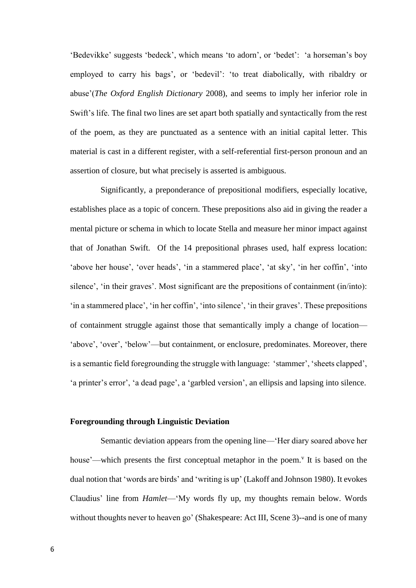'Bedevikke' suggests 'bedeck', which means 'to adorn', or 'bedet': 'a horseman's boy employed to carry his bags', or 'bedevil': 'to treat diabolically, with ribaldry or abuse'(*The Oxford English Dictionary* 2008), and seems to imply her inferior role in Swift's life. The final two lines are set apart both spatially and syntactically from the rest of the poem, as they are punctuated as a sentence with an initial capital letter. This material is cast in a different register, with a self-referential first-person pronoun and an assertion of closure, but what precisely is asserted is ambiguous.

Significantly, a preponderance of prepositional modifiers, especially locative, establishes place as a topic of concern. These prepositions also aid in giving the reader a mental picture or schema in which to locate Stella and measure her minor impact against that of Jonathan Swift. Of the 14 prepositional phrases used, half express location: 'above her house', 'over heads', 'in a stammered place', 'at sky', 'in her coffin', 'into silence', 'in their graves'. Most significant are the prepositions of containment (in/into): 'in a stammered place', 'in her coffin', 'into silence', 'in their graves'. These prepositions of containment struggle against those that semantically imply a change of location— 'above', 'over', 'below'—but containment, or enclosure, predominates. Moreover, there is a semantic field foregrounding the struggle with language: 'stammer', 'sheets clapped', 'a printer's error', 'a dead page', a 'garbled version', an ellipsis and lapsing into silence.

### **Foregrounding through Linguistic Deviation**

Semantic deviation appears from the opening line—'Her diary soared above her house'—which presents the first conceptual metaphor in the poem.<sup>v</sup> It is based on the dual notion that 'words are birds' and 'writing is up' (Lakoff and Johnson 1980). It evokes Claudius' line from *Hamlet*—'My words fly up, my thoughts remain below. Words without thoughts never to heaven go' (Shakespeare: Act III, Scene 3)--and is one of many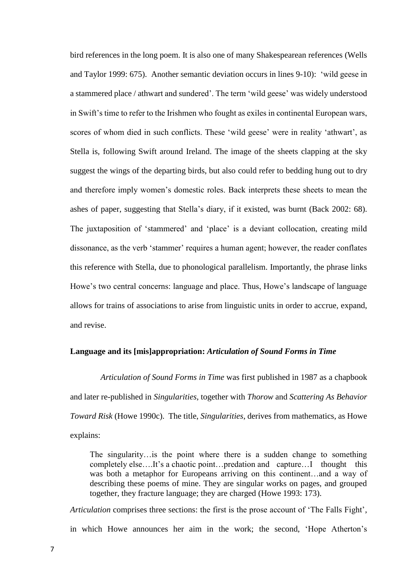bird references in the long poem. It is also one of many Shakespearean references (Wells and Taylor 1999: 675). Another semantic deviation occurs in lines 9-10): 'wild geese in a stammered place / athwart and sundered'. The term 'wild geese' was widely understood in Swift's time to refer to the Irishmen who fought as exiles in continental European wars, scores of whom died in such conflicts. These 'wild geese' were in reality 'athwart', as Stella is, following Swift around Ireland. The image of the sheets clapping at the sky suggest the wings of the departing birds, but also could refer to bedding hung out to dry and therefore imply women's domestic roles. Back interprets these sheets to mean the ashes of paper, suggesting that Stella's diary, if it existed, was burnt (Back 2002: 68). The juxtaposition of 'stammered' and 'place' is a deviant collocation, creating mild dissonance, as the verb 'stammer' requires a human agent; however, the reader conflates this reference with Stella, due to phonological parallelism. Importantly, the phrase links Howe's two central concerns: language and place. Thus, Howe's landscape of language allows for trains of associations to arise from linguistic units in order to accrue, expand, and revise.

#### **Language and its [mis]appropriation:** *Articulation of Sound Forms in Time*

*Articulation of Sound Forms in Time* was first published in 1987 as a chapbook and later re-published in *Singularities*, together with *Thorow* and *Scattering As Behavior Toward Risk* (Howe 1990c). The title, *Singularities*, derives from mathematics, as Howe explains:

The singularity…is the point where there is a sudden change to something completely else….It's a chaotic point…predation and capture…I thought this was both a metaphor for Europeans arriving on this continent…and a way of describing these poems of mine. They are singular works on pages, and grouped together, they fracture language; they are charged (Howe 1993: 173).

*Articulation* comprises three sections: the first is the prose account of 'The Falls Fight', in which Howe announces her aim in the work; the second, 'Hope Atherton's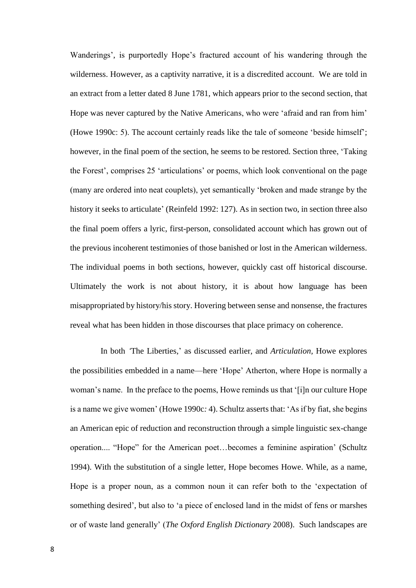Wanderings', is purportedly Hope's fractured account of his wandering through the wilderness. However, as a captivity narrative, it is a discredited account. We are told in an extract from a letter dated 8 June 1781, which appears prior to the second section, that Hope was never captured by the Native Americans, who were 'afraid and ran from him' (Howe 1990c: 5). The account certainly reads like the tale of someone 'beside himself'; however, in the final poem of the section, he seems to be restored. Section three, 'Taking the Forest', comprises 25 'articulations' or poems, which look conventional on the page (many are ordered into neat couplets), yet semantically 'broken and made strange by the history it seeks to articulate' (Reinfeld 1992: 127). As in section two, in section three also the final poem offers a lyric, first-person, consolidated account which has grown out of the previous incoherent testimonies of those banished or lost in the American wilderness. The individual poems in both sections, however, quickly cast off historical discourse. Ultimately the work is not about history, it is about how language has been misappropriated by history/his story. Hovering between sense and nonsense, the fractures reveal what has been hidden in those discourses that place primacy on coherence.

In both *'*The Liberties,' as discussed earlier, and *Articulation,* Howe explores the possibilities embedded in a name—here 'Hope' Atherton, where Hope is normally a woman's name. In the preface to the poems, Howe reminds us that '[i]n our culture Hope is a name we give women' (Howe 1990c*:* 4). Schultz asserts that: 'As if by fiat, she begins an American epic of reduction and reconstruction through a simple linguistic sex-change operation.... "Hope" for the American poet…becomes a feminine aspiration' (Schultz 1994). With the substitution of a single letter, Hope becomes Howe. While, as a name, Hope is a proper noun, as a common noun it can refer both to the 'expectation of something desired', but also to 'a piece of enclosed land in the midst of fens or marshes or of waste land generally' (*The Oxford English Dictionary* 2008). Such landscapes are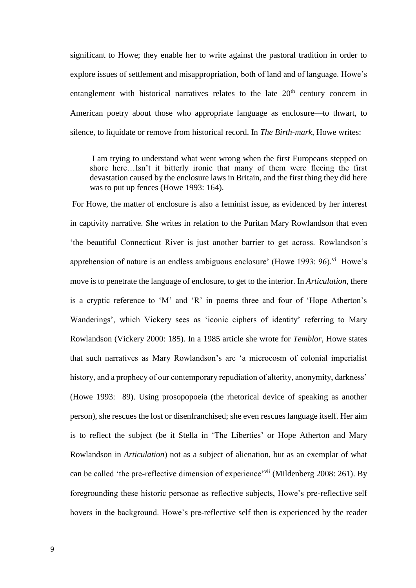significant to Howe; they enable her to write against the pastoral tradition in order to explore issues of settlement and misappropriation, both of land and of language. Howe's entanglement with historical narratives relates to the late  $20<sup>th</sup>$  century concern in American poetry about those who appropriate language as enclosure—to thwart, to silence, to liquidate or remove from historical record. In *The Birth-mark*, Howe writes:

I am trying to understand what went wrong when the first Europeans stepped on shore here…Isn't it bitterly ironic that many of them were fleeing the first devastation caused by the enclosure laws in Britain, and the first thing they did here was to put up fences (Howe 1993: 164).

For Howe, the matter of enclosure is also a feminist issue, as evidenced by her interest in captivity narrative. She writes in relation to the Puritan Mary Rowlandson that even 'the beautiful Connecticut River is just another barrier to get across. Rowlandson's apprehension of nature is an endless ambiguous enclosure' (Howe 1993: 96). $\mathrm{v}^i$  Howe's move is to penetrate the language of enclosure, to get to the interior. In *Articulation*, there is a cryptic reference to 'M' and 'R' in poems three and four of 'Hope Atherton's Wanderings', which Vickery sees as 'iconic ciphers of identity' referring to Mary Rowlandson (Vickery 2000: 185). In a 1985 article she wrote for *Temblor*, Howe states that such narratives as Mary Rowlandson's are 'a microcosm of colonial imperialist history, and a prophecy of our contemporary repudiation of alterity, anonymity, darkness' (Howe 1993: 89). Using prosopopoeia (the rhetorical device of speaking as another person), she rescues the lost or disenfranchised; she even rescues language itself. Her aim is to reflect the subject (be it Stella in 'The Liberties' or Hope Atherton and Mary Rowlandson in *Articulation*) not as a subject of alienation, but as an exemplar of what can be called 'the pre-reflective dimension of experience'<sup>vii</sup> (Mildenberg 2008: 261). By foregrounding these historic personae as reflective subjects, Howe's pre-reflective self hovers in the background. Howe's pre-reflective self then is experienced by the reader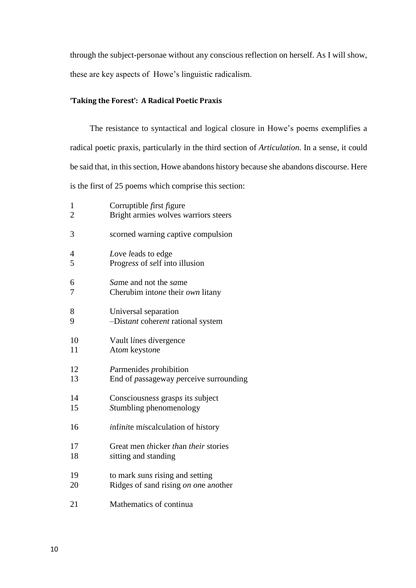through the subject-personae without any conscious reflection on herself. As I will show, these are key aspects of Howe's linguistic radicalism.

# **'Taking the Forest': A Radical Poetic Praxis**

The resistance to syntactical and logical closure in Howe's poems exemplifies a radical poetic praxis*,* particularly in the third section of *Articulation.* In a sense, it could be said that, in this section, Howe abandons history because she abandons discourse. Here is the first of 25 poems which comprise this section:

| $\mathbf{1}$   | Corruptible first figure               |
|----------------|----------------------------------------|
| $\overline{2}$ | Bright armies wolves warriors steers   |
| 3              | scorned warning captive compulsion     |
| 4              | Love leads to edge                     |
| 5              | Progress of self into illusion         |
| 6              | Same and not the same                  |
| 7              | Cherubim intone their own litany       |
| 8              | Universal separation                   |
| 9              | -Distant coherent rational system      |
| 10             | Vault lines divergence                 |
| 11             | Atom keystone                          |
| 12             | Parmenides prohibition                 |
| 13             | End of passageway perceive surrounding |
| 14             | Consciousness grasps its subject       |
| 15             | Stumbling phenomenology                |
| 16             | infinite miscalculation of history     |
| 17             | Great men thicker than their stories   |
| 18             | sitting and standing                   |
| 19             | to mark suns rising and setting        |
| 20             | Ridges of sand rising on one another   |
| 21             | Mathematics of continua                |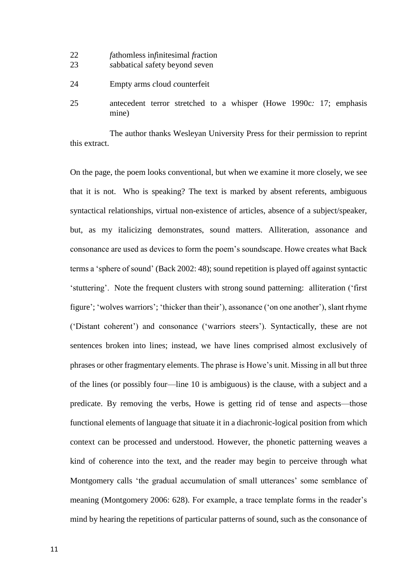- 22 *f*athomless in*f*initesimal *f*raction
- 23 *s*abbatical *s*afety beyond *s*even
- 24 Empty arms *c*loud *c*ounterfeit
- 25 antecedent terror stretched to a whisper (Howe 1990c*:* 17; emphasis mine)

The author thanks Wesleyan University Press for their permission to reprint this extract.

On the page, the poem looks conventional, but when we examine it more closely, we see that it is not. Who is speaking? The text is marked by absent referents, ambiguous syntactical relationships, virtual non-existence of articles, absence of a subject/speaker, but, as my italicizing demonstrates, sound matters. Alliteration, assonance and consonance are used as devices to form the poem's soundscape. Howe creates what Back terms a 'sphere of sound' (Back 2002: 48); sound repetition is played off against syntactic 'stuttering'. Note the frequent clusters with strong sound patterning: alliteration ('first figure'; 'wolves warriors'; 'thicker than their'), assonance ('on one another'), slant rhyme ('Distant coherent') and consonance ('warriors steers'). Syntactically, these are not sentences broken into lines; instead, we have lines comprised almost exclusively of phrases or other fragmentary elements. The phrase is Howe's unit. Missing in all but three of the lines (or possibly four—line 10 is ambiguous) is the clause, with a subject and a predicate. By removing the verbs, Howe is getting rid of tense and aspects—those functional elements of language that situate it in a diachronic-logical position from which context can be processed and understood. However, the phonetic patterning weaves a kind of coherence into the text, and the reader may begin to perceive through what Montgomery calls 'the gradual accumulation of small utterances' some semblance of meaning (Montgomery 2006: 628). For example, a trace template forms in the reader's mind by hearing the repetitions of particular patterns of sound, such as the consonance of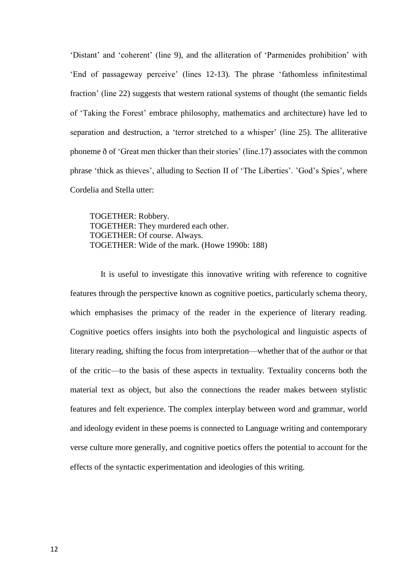'Distant' and 'coherent' (line 9), and the alliteration of 'Parmenides prohibition' with 'End of passageway perceive' (lines 12-13). The phrase 'fathomless infinitestimal fraction' (line 22) suggests that western rational systems of thought (the semantic fields of 'Taking the Forest' embrace philosophy, mathematics and architecture) have led to separation and destruction, a 'terror stretched to a whisper' (line 25). The alliterative phoneme ð of 'Great men thicker than their stories' (line.17) associates with the common phrase 'thick as thieves', alluding to Section II of 'The Liberties'. 'God's Spies', where Cordelia and Stella utter:

TOGETHER: Robbery. TOGETHER: They murdered each other. TOGETHER: Of course. Always. TOGETHER: Wide of the mark. (Howe 1990b: 188)

It is useful to investigate this innovative writing with reference to cognitive features through the perspective known as cognitive poetics, particularly schema theory, which emphasises the primacy of the reader in the experience of literary reading. Cognitive poetics offers insights into both the psychological and linguistic aspects of literary reading, shifting the focus from interpretation—whether that of the author or that of the critic—to the basis of these aspects in textuality. Textuality concerns both the material text as object, but also the connections the reader makes between stylistic features and felt experience. The complex interplay between word and grammar, world and ideology evident in these poems is connected to Language writing and contemporary verse culture more generally, and cognitive poetics offers the potential to account for the effects of the syntactic experimentation and ideologies of this writing.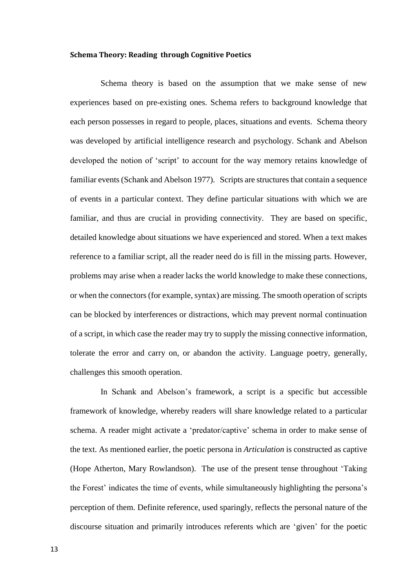### **Schema Theory: Reading through Cognitive Poetics**

Schema theory is based on the assumption that we make sense of new experiences based on pre-existing ones. Schema refers to background knowledge that each person possesses in regard to people, places, situations and events. Schema theory was developed by artificial intelligence research and psychology. Schank and Abelson developed the notion of 'script' to account for the way memory retains knowledge of familiar events (Schank and Abelson 1977). Scripts are structures that contain a sequence of events in a particular context. They define particular situations with which we are familiar, and thus are crucial in providing connectivity. They are based on specific, detailed knowledge about situations we have experienced and stored. When a text makes reference to a familiar script, all the reader need do is fill in the missing parts. However, problems may arise when a reader lacks the world knowledge to make these connections, or when the connectors (for example, syntax) are missing. The smooth operation of scripts can be blocked by interferences or distractions, which may prevent normal continuation of a script, in which case the reader may try to supply the missing connective information, tolerate the error and carry on, or abandon the activity. Language poetry, generally, challenges this smooth operation.

In Schank and Abelson's framework, a script is a specific but accessible framework of knowledge, whereby readers will share knowledge related to a particular schema. A reader might activate a 'predator/captive' schema in order to make sense of the text. As mentioned earlier, the poetic persona in *Articulation* is constructed as captive (Hope Atherton, Mary Rowlandson). The use of the present tense throughout 'Taking the Forest' indicates the time of events, while simultaneously highlighting the persona's perception of them. Definite reference, used sparingly, reflects the personal nature of the discourse situation and primarily introduces referents which are 'given' for the poetic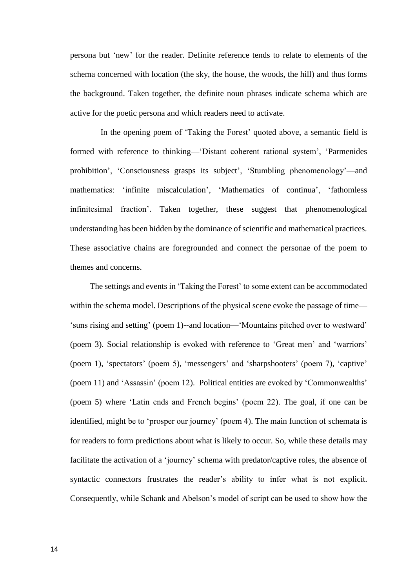persona but 'new' for the reader. Definite reference tends to relate to elements of the schema concerned with location (the sky, the house, the woods, the hill) and thus forms the background. Taken together, the definite noun phrases indicate schema which are active for the poetic persona and which readers need to activate.

In the opening poem of 'Taking the Forest' quoted above, a semantic field is formed with reference to thinking—'Distant coherent rational system', 'Parmenides prohibition', 'Consciousness grasps its subject', 'Stumbling phenomenology'—and mathematics: 'infinite miscalculation', 'Mathematics of continua', 'fathomless infinitesimal fraction'. Taken together, these suggest that phenomenological understanding has been hidden by the dominance of scientific and mathematical practices. These associative chains are foregrounded and connect the personae of the poem to themes and concerns.

The settings and events in 'Taking the Forest' to some extent can be accommodated within the schema model. Descriptions of the physical scene evoke the passage of time— 'suns rising and setting' (poem 1)--and location—'Mountains pitched over to westward' (poem 3). Social relationship is evoked with reference to 'Great men' and 'warriors' (poem 1), 'spectators' (poem 5), 'messengers' and 'sharpshooters' (poem 7), 'captive' (poem 11) and 'Assassin' (poem 12). Political entities are evoked by 'Commonwealths' (poem 5) where 'Latin ends and French begins' (poem 22). The goal, if one can be identified, might be to 'prosper our journey' (poem 4). The main function of schemata is for readers to form predictions about what is likely to occur. So, while these details may facilitate the activation of a 'journey' schema with predator/captive roles, the absence of syntactic connectors frustrates the reader's ability to infer what is not explicit. Consequently, while Schank and Abelson's model of script can be used to show how the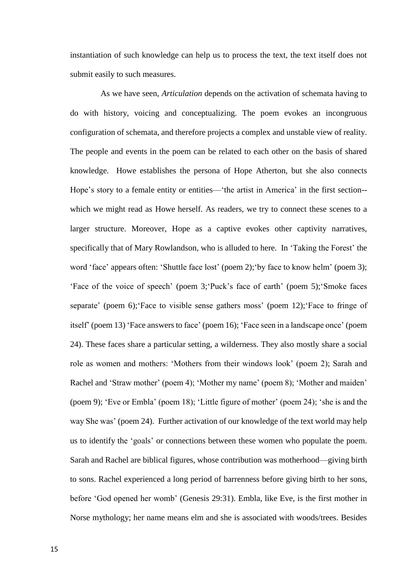instantiation of such knowledge can help us to process the text, the text itself does not submit easily to such measures.

As we have seen, *Articulation* depends on the activation of schemata having to do with history, voicing and conceptualizing. The poem evokes an incongruous configuration of schemata, and therefore projects a complex and unstable view of reality. The people and events in the poem can be related to each other on the basis of shared knowledge. Howe establishes the persona of Hope Atherton, but she also connects Hope's story to a female entity or entities—'the artist in America' in the first section- which we might read as Howe herself. As readers, we try to connect these scenes to a larger structure. Moreover, Hope as a captive evokes other captivity narratives, specifically that of Mary Rowlandson, who is alluded to here. In 'Taking the Forest' the word 'face' appears often: 'Shuttle face lost' (poem 2);'by face to know helm' (poem 3); 'Face of the voice of speech' (poem 3;'Puck's face of earth' (poem 5);'Smoke faces separate' (poem 6);'Face to visible sense gathers moss' (poem 12);'Face to fringe of itself' (poem 13) 'Face answers to face' (poem 16); 'Face seen in a landscape once' (poem 24). These faces share a particular setting, a wilderness. They also mostly share a social role as women and mothers: 'Mothers from their windows look' (poem 2); Sarah and Rachel and 'Straw mother' (poem 4); 'Mother my name' (poem 8); 'Mother and maiden' (poem 9); 'Eve or Embla' (poem 18); 'Little figure of mother' (poem 24); 'she is and the way She was' (poem 24). Further activation of our knowledge of the text world may help us to identify the 'goals' or connections between these women who populate the poem. Sarah and Rachel are biblical figures, whose contribution was motherhood—giving birth to sons. Rachel experienced a long period of barrenness before giving birth to her sons, before 'God opened her womb' (Genesis 29:31). Embla, like Eve, is the first mother in Norse mythology; her name means elm and she is associated with woods/trees. Besides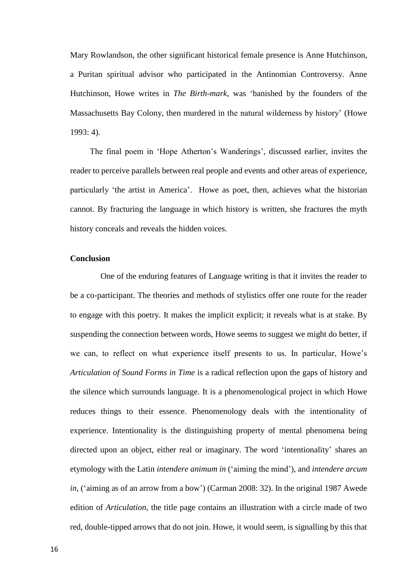Mary Rowlandson, the other significant historical female presence is Anne Hutchinson, a Puritan spiritual advisor who participated in the Antinomian Controversy. Anne Hutchinson, Howe writes in *The Birth-mark*, was 'banished by the founders of the Massachusetts Bay Colony, then murdered in the natural wilderness by history' (Howe 1993: 4).

The final poem in 'Hope Atherton's Wanderings', discussed earlier, invites the reader to perceive parallels between real people and events and other areas of experience, particularly 'the artist in America'. Howe as poet, then, achieves what the historian cannot. By fracturing the language in which history is written, she fractures the myth history conceals and reveals the hidden voices.

# **Conclusion**

One of the enduring features of Language writing is that it invites the reader to be a co-participant. The theories and methods of stylistics offer one route for the reader to engage with this poetry. It makes the implicit explicit; it reveals what is at stake. By suspending the connection between words, Howe seems to suggest we might do better, if we can, to reflect on what experience itself presents to us. In particular, Howe's *Articulation of Sound Forms in Time* is a radical reflection upon the gaps of history and the silence which surrounds language. It is a phenomenological project in which Howe reduces things to their essence. Phenomenology deals with the intentionality of experience. Intentionality is the distinguishing property of mental phenomena being directed upon an object, either real or imaginary. The word 'intentionality' shares an etymology with the Latin *intendere animum in* ('aiming the mind'), and *intendere arcum in*, ('aiming as of an arrow from a bow') (Carman 2008: 32). In the original 1987 Awede edition of *Articulation*, the title page contains an illustration with a circle made of two red, double-tipped arrows that do not join. Howe, it would seem, is signalling by this that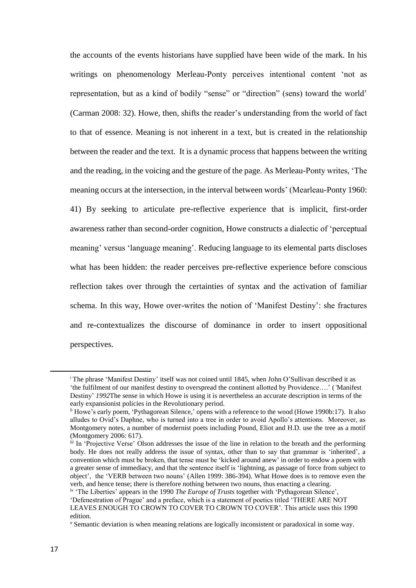the accounts of the events historians have supplied have been wide of the mark. In his writings on phenomenology Merleau-Ponty perceives intentional content 'not as representation, but as a kind of bodily "sense" or "direction" (sens) toward the world' (Carman 2008: 32). Howe, then, shifts the reader's understanding from the world of fact to that of essence. Meaning is not inherent in a text, but is created in the relationship between the reader and the text. It is a dynamic process that happens between the writing and the reading, in the voicing and the gesture of the page. As Merleau-Ponty writes, 'The meaning occurs at the intersection, in the interval between words' (Mearleau-Ponty 1960: 41) By seeking to articulate pre-reflective experience that is implicit, first-order awareness rather than second-order cognition, Howe constructs a dialectic of 'perceptual meaning' versus 'language meaning'. Reducing language to its elemental parts discloses what has been hidden: the reader perceives pre-reflective experience before conscious reflection takes over through the certainties of syntax and the activation of familiar schema. In this way, Howe over-writes the notion of 'Manifest Destiny': she fractures and re-contextualizes the discourse of dominance in order to insert oppositional perspectives.

**.** 

<sup>i</sup> The phrase 'Manifest Destiny' itself was not coined until 1845, when John O'Sullivan described it as 'the fulfilment of our manifest destiny to overspread the continent allotted by Providence….' (*'*Manifest Destiny' *1992*The sense in which Howe is using it is nevertheless an accurate description in terms of the early expansionist policies in the Revolutionary period.

ii Howe's early poem, 'Pythagorean Silence,' opens with a reference to the wood (Howe 1990b:17). It also alludes to Ovid's Daphne, who is turned into a tree in order to avoid Apollo's attentions. Moreover, as Montgomery notes, a number of modernist poets including Pound, Eliot and H.D. use the tree as a motif (Montgomery 2006: 617).

iii In 'Projective Verse' Olson addresses the issue of the line in relation to the breath and the performing body. He does not really address the issue of syntax, other than to say that grammar is 'inherited', a convention which must be broken, that tense must be 'kicked around anew' in order to endow a poem with a greater sense of immediacy, and that the sentence itself is 'lightning, as passage of force from subject to object', the 'VERB between two nouns' (Allen 1999: 386-394). What Howe does is to remove even the verb, and hence tense; there is therefore nothing between two nouns, thus enacting a clearing.

iv 'The Liberties' appears in the 1990 *The Europe of Trusts* together with 'Pythagorean Silence', 'Defenestration of Prague' and a preface, which is a statement of poetics titled 'THERE ARE NOT LEAVES ENOUGH TO CROWN TO COVER TO CROWN TO COVER'. This article uses this 1990 edition.

<sup>v</sup> Semantic deviation is when meaning relations are logically inconsistent or paradoxical in some way.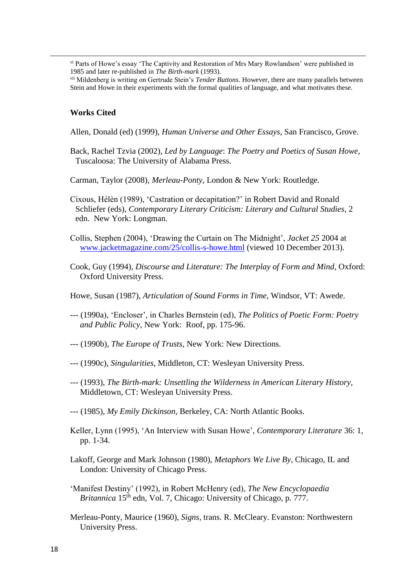vi Parts of Howe's essay 'The Captivity and Restoration of Mrs Mary Rowlandson' were published in 1985 and later re-published in *The Birth-mark* (1993).

vii Mildenberg is writing on Gertrude Stein's *Tender Buttons*. However, there are many parallels between Stein and Howe in their experiments with the formal qualities of language, and what motivates these.

### **Works Cited**

1

Allen, Donald (ed) (1999), *Human Universe and Other Essays*, San Francisco, Grove.

Back, Rachel Tzvia (2002), *Led by Language*: *The Poetry and Poetics of Susan Howe*, Tuscaloosa: The University of Alabama Press.

Carman, Taylor (2008), *Merleau-Ponty*, London & New York: Routledge.

Cixous, Hélèn (1989), 'Castration or decapitation?' in Robert David and Ronald Schliefer (eds), *Contemporary Literary Criticism: Literary and Cultural Studies*, 2 edn. New York: Longman.

Collis, Stephen (2004), 'Drawing the Curtain on The Midnight', *Jacket 25* 2004 at [www.jacketmagazine.com/25/collis-s-howe.html](http://www.jacketmagazine.com/25/collis-s-howe.html) (viewed 10 December 2013).

Cook, Guy (1994), *Discourse and Literature: The Interplay of Form and Mind*, Oxford: Oxford University Press.

Howe, Susan (1987), *Articulation of Sound Forms in Time*, Windsor, VT: Awede.

- --- (1990a), 'Encloser', in Charles Bernstein (ed), *The Politics of Poetic Form: Poetry and Public Policy*, New York: Roof, pp. 175-96.
- --- (1990b), *The Europe of Trusts,* New York: New Directions.
- --- (1990c), *Singularities*, Middleton, CT: Wesleyan University Press.
- --- (1993), *The Birth-mark: Unsettling the Wilderness in American Literary History*, Middletown, CT: Wesleyan University Press.
- --- (1985), *My Emily Dickinson,* Berkeley, CA: North Atlantic Books.
- Keller, Lynn (1995), 'An Interview with Susan Howe', *Contemporary Literature* 36: 1, pp. 1-34.
- Lakoff, George and Mark Johnson (1980), *Metaphors We Live By*, Chicago, IL and London: University of Chicago Press.
- 'Manifest Destiny' (1992), in Robert McHenry (ed), *The New Encyclopaedia Britannica* 15<sup>th</sup> edn, Vol. 7, Chicago: University of Chicago, p. 777.
- Merleau-Ponty, Maurice (1960), *Signs,* trans. R. McCleary. Evanston: Northwestern University Press.